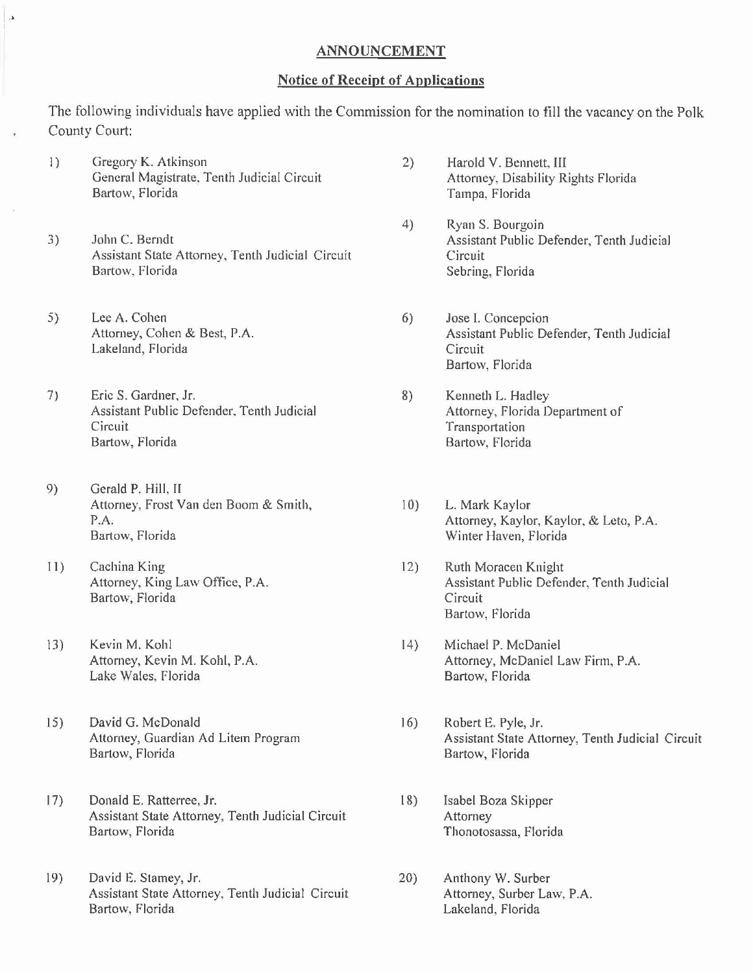## ANNOUNCEMENT

## Notice of Receipt of Applications

The following individuals have applied with the Commission for the nomination to fill the vacancy on the Polk County Court:

- I) Gregory K. Atkinson 2) Harold V. Bennett, III
- 3) John C. Berndt **Assistant Public Defender**, Tenth Judicial Assistant State Attorney, Tenth Judicial Circuit<br>Bartow, Florida Sebring
- 5) Lee A. Cohen 6) Jose I. Concepcion Lakeland, Florida Circuit

..

- 7) Eric S. Gardner, Jr. 8) Kenneth L. Hadley Assistant Public Defender, Tenth Judicial **Attorney**, Florida Department of Circuit **Transportation** Bartow, Florida Bartow, Florida
- 9) Gerald P. Hill, II Attorney, Frost Van den Boom & Smith, 10) L. Mark Kaylor Bartow, Florida **Bartow**, Florida **Bartow**, Florida **Winter Haven**, Florida
- II) Cachina King 2018 (2018) Ruth Moracen Knight<br>Attorney, King Law Office, P.A. 2008 (2018) Assistant Public Defer Bartow, Florida Circuit
- 13) Kevin M. Kohl 14) Michael P. McDaniel Lake Wales, Florida **Bartow**, Florida
- 15) David G. McDonald 16) Robert E. Pyle, Jr. Bartow, Florida Bartow, Florida
- 17) Donald E. Ratterree, Jr. 18) Isabel Boza Skipper Assistant State Attorney, Tenth Judicial Circuit Attorney Bartow, Florida Thonotosassa, Florida
- 19) David E. Stamey, Jr. 20) Anthony W. Surber Assistant State Attorney, Tenth Judicial Circuit Attorney, Surber Law, P.A. Bartow, Florida **Lakeland**, Florida
- General Magistrate, Tenth Judicial Circuit **Attorney, Disability Rights Florida**<br>Bartow, Florida **Acceleration** Circuit Campa, Florida Tampa, Florida
	- 4) Ryan S. Bourgoin Sebring, Florida
	- Assistant Public Defender, Tenth Judicial Bartow, Florida
	-
- P.A. Attorney, Kaylor, Kaylor, & Leto, P.A.
	- Assistant Public Defender, Tenth Judicial Bartow, Florida
- Attorney, Kevin M. Kohl, P.A. Attorney, McDaniel Law Firm, P.A.
- Attorney, Guardian Ad Litem Program Assistant State Attorney, Tenth Judicial Circuit
	-
	-